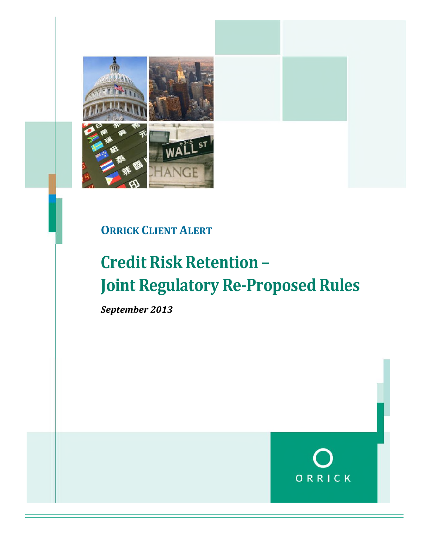

### **ORRICK CLIENT ALERT**

### **Credit Risk Retention – Joint Regulatory Re-Proposed Rules**

*September 2013*

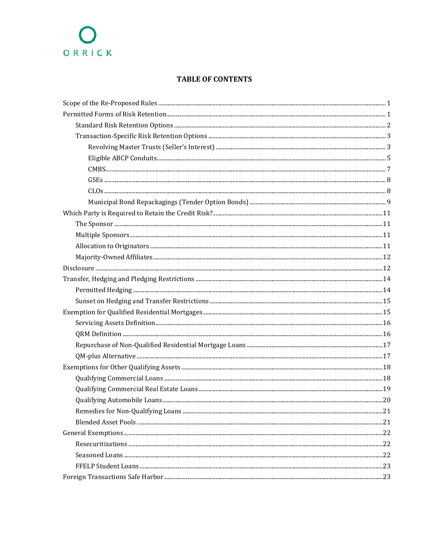#### **TABLE OF CONTENTS**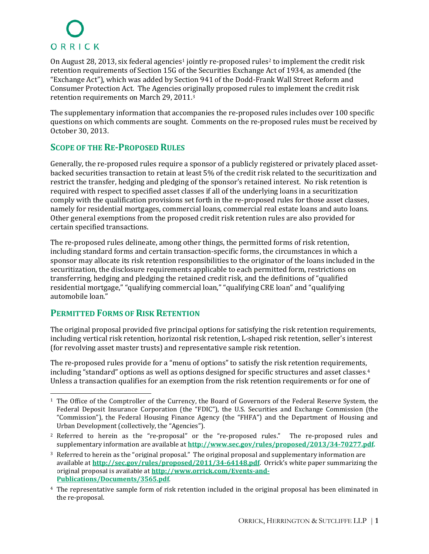OnAugust 28, 2013, six federal agencies<sup>1</sup> jointly re-proposed rules<sup>2</sup> to implement the credit risk retention requirements of Section 15G of the Securities Exchange Act of 1934, as amended (the "Exchange Act"), which was added by Section 941 of the Dodd-Frank Wall Street Reform and Consumer Protection Act. The Agencies originally proposed rules to implement the credit risk retention requirements on March29,2011.<sup>3</sup>

The supplementary information that accompanies the re-proposed rules includes over 100 specific questions on which comments are sought. Comments on the re-proposed rules must be received by October 30, 2013.

### **SCOPE OF THE RE-PROPOSED RULES**

Generally, the re-proposed rules require a sponsor of a publicly registered or privately placed assetbacked securities transaction to retain at least 5% of the credit risk related to the securitization and restrict the transfer, hedging and pledging of the sponsor's retained interest. No risk retention is required with respect to specified asset classes if all of the underlying loans in a securitization comply with the qualification provisions set forth in the re-proposed rules for those asset classes, namely for residential mortgages, commercial loans, commercial real estate loans and auto loans. Other general exemptions from the proposed credit risk retention rules are also provided for certain specified transactions.

The re-proposed rules delineate, among other things, the permitted forms of risk retention, including standard forms and certain transaction-specific forms, the circumstances in which a sponsor may allocate its risk retention responsibilities to the originator of the loans included in the securitization, the disclosure requirements applicable to each permitted form, restrictions on transferring, hedging and pledging the retained credit risk, and the definitions of "qualified residential mortgage," "qualifying commercial loan," "qualifying CRE loan" and "qualifying automobile loan."

### **PERMITTED FORMS OF RISK RETENTION**

The original proposal provided five principal options for satisfying the risk retention requirements, including vertical risk retention, horizontal risk retention, L-shaped risk retention, seller's interest (for revolving asset master trusts) and representative sample risk retention.

The re-proposed rules provide for a "menu of options" to satisfy the risk retention requirements, including "standard" options as well as options designed for specific structures and assetclasses[.](#page-2-3)<sup>4</sup> Unless a transaction qualifies for an exemption from the risk retention requirements or for one of

<span id="page-2-0"></span><sup>1</sup> The Office of the Comptroller of the Currency, the Board of Governors of the Federal Reserve System, the Federal Deposit Insurance Corporation (the "FDIC"), the U.S. Securities and Exchange Commission (the "Commission"), the Federal Housing Finance Agency (the "FHFA") and the Department of Housing and Urban Development (collectively, the "Agencies").

<span id="page-2-1"></span><sup>&</sup>lt;sup>2</sup> Referred to herein as the "re-proposal" or the "re-proposed rules." The re-proposed rules and supplementary information are available at **[http://www.sec.gov/rules/proposed/2013/34-70277.pdf.](http://www.sec.gov/rules/proposed/2013/34-70277.pdf)**

<span id="page-2-2"></span><sup>3</sup> Referred to herein as the "original proposal." The original proposal and supplementary information are available at **<http://sec.gov/rules/proposed/2011/34-64148.pdf>**. Orrick's white paper summarizing the original proposal is available at **http://www.orrick.com/Events-and-[Publications/Documents/3565.pdf](http://www.orrick.com/Events-and-Publications/Documents/3565.pdf)**.

<span id="page-2-3"></span><sup>4</sup> The representative sample form of risk retention included in the original proposal has been eliminated in the re-proposal.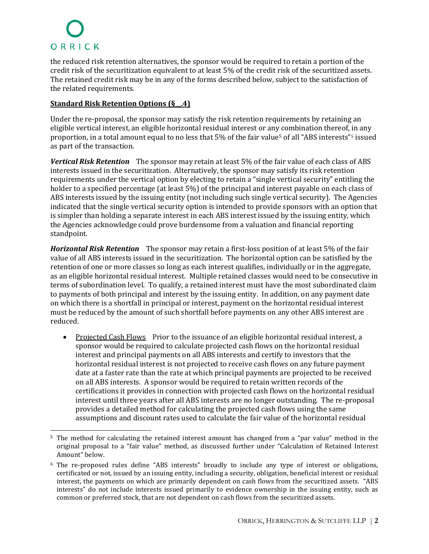the reduced risk retention alternatives, the sponsor would be required to retain a portion of the credit risk of the securitization equivalent to at least 5% of the credit risk of the securitized assets. The retained credit risk may be in any of the forms described below, subject to the satisfaction of the related requirements.

#### **Standard Risk Retention Options (§\_\_.4)**

Under the re-proposal, the sponsor may satisfy the risk retention requirements by retaining an eligible vertical interest, an eligible horizontal residual interest or any combination thereof, in any proportion, in a total amount equal to no less that 5% of thefairvalu[e](#page-3-0)<sup>5</sup> of all "ABS interests"[6](#page-3-1) issued as part of the transaction.

*Vertical Risk Retention* The sponsor may retain at least 5% of the fair value of each class of ABS interests issued in the securitization. Alternatively, the sponsor may satisfy its risk retention requirements under the vertical option by electing to retain a "single vertical security" entitling the holder to a specified percentage (at least 5%) of the principal and interest payable on each class of ABS interests issued by the issuing entity (not including such single vertical security). The Agencies indicated that the single vertical security option is intended to provide sponsors with an option that is simpler than holding a separate interest in each ABS interest issued by the issuing entity, which the Agencies acknowledge could prove burdensome from a valuation and financial reporting standpoint.

*Horizontal Risk Retention* The sponsor may retain a first-loss position of at least 5% of the fair value of all ABS interests issued in the securitization. The horizontal option can be satisfied by the retention of one or more classes so long as each interest qualifies, individually or in the aggregate, as an eligible horizontal residual interest. Multiple retained classes would need to be consecutive in terms of subordination level. To qualify, a retained interest must have the most subordinated claim to payments of both principal and interest by the issuing entity. In addition, on any payment date on which there is a shortfall in principal or interest, payment on the horizontal residual interest must be reduced by the amount of such shortfall before payments on any other ABS interest are reduced.

• Projected Cash Flows Prior to the issuance of an eligible horizontal residual interest, a sponsor would be required to calculate projected cash flows on the horizontal residual interest and principal payments on all ABS interests and certify to investors that the horizontal residual interest is not projected to receive cash flows on any future payment date at a faster rate than the rate at which principal payments are projected to be received on all ABS interests. A sponsor would be required to retain written records of the certifications it provides in connection with projected cash flows on the horizontal residual interest until three years after all ABS interests are no longer outstanding. The re-proposal provides a detailed method for calculating the projected cash flows using the same assumptions and discount rates used to calculate the fair value of the horizontal residual

<span id="page-3-0"></span><sup>5</sup> The method for calculating the retained interest amount has changed from a "par value" method in the original proposal to a "fair value" method, as discussed further under "Calculation of Retained Interest Amount" below.

<span id="page-3-1"></span><sup>6</sup> The re-proposed rules define "ABS interests" broadly to include any type of interest or obligations, certificated or not, issued by an issuing entity, including a security, obligation, beneficial interest or residual interest, the payments on which are primarily dependent on cash flows from the securitized assets. "ABS interests" do not include interests issued primarily to evidence ownership in the issuing entity, such as common or preferred stock, that are not dependent on cash flows from the securitized assets.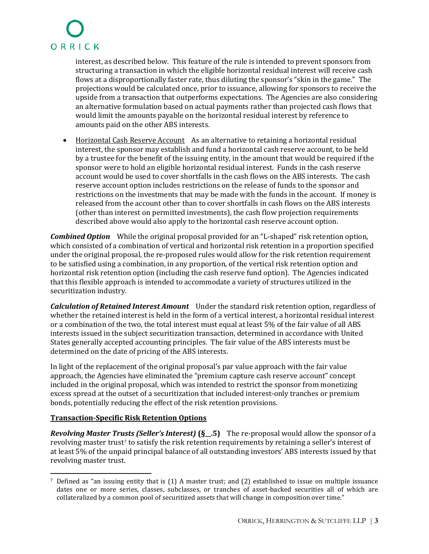interest, as described below. This feature of the rule is intended to prevent sponsors from structuring a transaction in which the eligible horizontal residual interest will receive cash flows at a disproportionally faster rate, thus diluting the sponsor's "skin in the game." The projections would be calculated once, prior to issuance, allowing for sponsors to receive the upside from a transaction that outperforms expectations. The Agencies are also considering an alternative formulation based on actual payments rather than projected cash flows that would limit the amounts payable on the horizontal residual interest by reference to amounts paid on the other ABS interests.

• Horizontal Cash Reserve Account As an alternative to retaining a horizontal residual interest, the sponsor may establish and fund a horizontal cash reserve account, to be held by a trustee for the benefit of the issuing entity, in the amount that would be required if the sponsor were to hold an eligible horizontal residual interest. Funds in the cash reserve account would be used to cover shortfalls in the cash flows on the ABS interests. The cash reserve account option includes restrictions on the release of funds to the sponsor and restrictions on the investments that may be made with the funds in the account. If money is released from the account other than to cover shortfalls in cash flows on the ABS interests (other than interest on permitted investments), the cash flow projection requirements described above would also apply to the horizontal cash reserve account option.

*Combined Option* While the original proposal provided for an "L-shaped" risk retention option, which consisted of a combination of vertical and horizontal risk retention in a proportion specified under the original proposal, the re-proposed rules would allow for the risk retention requirement to be satisfied using a combination, in any proportion, of the vertical risk retention option and horizontal risk retention option (including the cash reserve fund option). The Agencies indicated that this flexible approach is intended to accommodate a variety of structures utilized in the securitization industry.

*Calculation of Retained Interest Amount* Under the standard risk retention option, regardless of whether the retained interest is held in the form of a vertical interest, a horizontal residual interest or a combination of the two, the total interest must equal at least 5% of the fair value of all ABS interests issued in the subject securitization transaction, determined in accordance with United States generally accepted accounting principles. The fair value of the ABS interests must be determined on the date of pricing of the ABS interests.

In light of the replacement of the original proposal's par value approach with the fair value approach, the Agencies have eliminated the "premium capture cash reserve account" concept included in the original proposal, which was intended to restrict the sponsor from monetizing excess spread at the outset of a securitization that included interest-only tranches or premium bonds, potentially reducing the effect of the risk retention provisions.

#### **Transaction-Specific Risk Retention Options**

*Revolving Master Trusts (Seller's Interest)* **(§\_\_.5)** The re-proposal would allow the sponsor of a revolvingmas[t](#page-4-0)er trust<sup>7</sup> to satisfy the risk retention requirements by retaining a seller's interest of at least 5% of the unpaid principal balance of all outstanding investors' ABS interests issued by that revolving master trust.

<span id="page-4-0"></span><sup>7</sup> Defined as "an issuing entity that is (1) A master trust; and (2) established to issue on multiple issuance dates one or more series, classes, subclasses, or tranches of asset-backed securities all of which are collateralized by a common pool of securitized assets that will change in composition over time."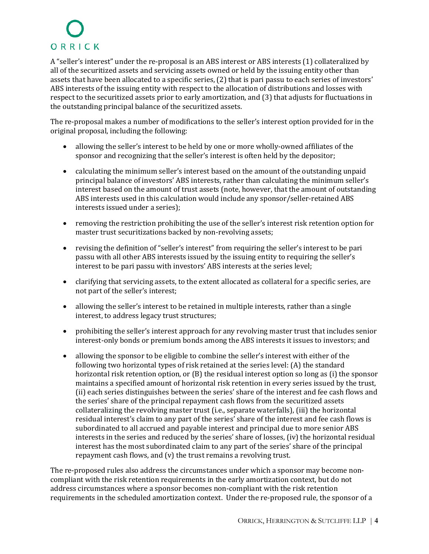A "seller's interest" under the re-proposal is an ABS interest or ABS interests (1) collateralized by all of the securitized assets and servicing assets owned or held by the issuing entity other than assets that have been allocated to a specific series, (2) that is pari passu to each series of investors' ABS interests of the issuing entity with respect to the allocation of distributions and losses with respect to the securitized assets prior to early amortization, and (3) that adjusts for fluctuations in the outstanding principal balance of the securitized assets.

The re-proposal makes a number of modifications to the seller's interest option provided for in the original proposal, including the following:

- allowing the seller's interest to be held by one or more wholly-owned affiliates of the sponsor and recognizing that the seller's interest is often held by the depositor;
- calculating the minimum seller's interest based on the amount of the outstanding unpaid principal balance of investors' ABS interests, rather than calculating the minimum seller's interest based on the amount of trust assets (note, however, that the amount of outstanding ABS interests used in this calculation would include any sponsor/seller-retained ABS interests issued under a series);
- removing the restriction prohibiting the use of the seller's interest risk retention option for master trust securitizations backed by non-revolving assets;
- revising the definition of "seller's interest" from requiring the seller's interest to be pari passu with all other ABS interests issued by the issuing entity to requiring the seller's interest to be pari passu with investors' ABS interests at the series level;
- clarifying that servicing assets, to the extent allocated as collateral for a specific series, are not part of the seller's interest;
- allowing the seller's interest to be retained in multiple interests, rather than a single interest, to address legacy trust structures;
- prohibiting the seller's interest approach for any revolving master trust that includes senior interest-only bonds or premium bonds among the ABS interests it issues to investors; and
- allowing the sponsor to be eligible to combine the seller's interest with either of the following two horizontal types of risk retained at the series level: (A) the standard horizontal risk retention option, or (B) the residual interest option so long as (i) the sponsor maintains a specified amount of horizontal risk retention in every series issued by the trust, (ii) each series distinguishes between the series' share of the interest and fee cash flows and the series' share of the principal repayment cash flows from the securitized assets collateralizing the revolving master trust (i.e., separate waterfalls), (iii) the horizontal residual interest's claim to any part of the series' share of the interest and fee cash flows is subordinated to all accrued and payable interest and principal due to more senior ABS interests in the series and reduced by the series' share of losses, (iv) the horizontal residual interest has the most subordinated claim to any part of the series' share of the principal repayment cash flows, and (v) the trust remains a revolving trust.

The re-proposed rules also address the circumstances under which a sponsor may become noncompliant with the risk retention requirements in the early amortization context, but do not address circumstances where a sponsor becomes non-compliant with the risk retention requirements in the scheduled amortization context. Under the re-proposed rule, the sponsor of a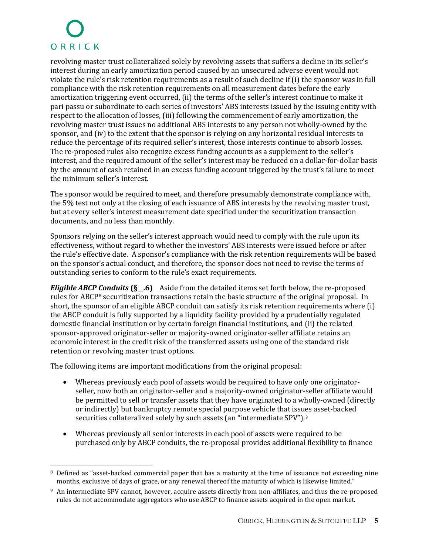revolving master trust collateralized solely by revolving assets that suffers a decline in its seller's interest during an early amortization period caused by an unsecured adverse event would not violate the rule's risk retention requirements as a result of such decline if (i) the sponsor was in full compliance with the risk retention requirements on all measurement dates before the early amortization triggering event occurred, (ii) the terms of the seller's interest continue to make it pari passu or subordinate to each series of investors' ABS interests issued by the issuing entity with respect to the allocation of losses, (iii) following the commencement of early amortization, the revolving master trust issues no additional ABS interests to any person not wholly-owned by the sponsor, and (iv) to the extent that the sponsor is relying on any horizontal residual interests to reduce the percentage of its required seller's interest, those interests continue to absorb losses. The re-proposed rules also recognize excess funding accounts as a supplement to the seller's interest, and the required amount of the seller's interest may be reduced on a dollar-for-dollar basis by the amount of cash retained in an excess funding account triggered by the trust's failure to meet the minimum seller's interest.

The sponsor would be required to meet, and therefore presumably demonstrate compliance with, the 5% test not only at the closing of each issuance of ABS interests by the revolving master trust, but at every seller's interest measurement date specified under the securitization transaction documents, and no less than monthly.

Sponsors relying on the seller's interest approach would need to comply with the rule upon its effectiveness, without regard to whether the investors' ABS interests were issued before or after the rule's effective date. A sponsor's compliance with the risk retention requirements will be based on the sponsor's actual conduct, and therefore, the sponsor does not need to revise the terms of outstanding series to conform to the rule's exact requirements.

*Eligible ABCP Conduits* **(§\_\_.6)** Aside from the detailed items set forth below, the re-proposed rulesforABCP<sup>8</sup> securitization transactions retain the basic structure of the original proposal. In short, the sponsor of an eligible ABCP conduit can satisfy its risk retention requirements where (i) the ABCP conduit is fully supported by a liquidity facility provided by a prudentially regulated domestic financial institution or by certain foreign financial institutions, and (ii) the related sponsor-approved originator-seller or majority-owned originator-seller affiliate retains an economic interest in the credit risk of the transferred assets using one of the standard risk retention or revolving master trust options.

The following items are important modifications from the original proposal:

- Whereas previously each pool of assets would be required to have only one originatorseller, now both an originator-seller and a majority-owned originator-seller affiliate would be permitted to sell or transfer assets that they have originated to a wholly-owned (directly or indirectly) but bankruptcy remote special purpose vehicle that issues asset-backed securities collateralized solely by such assets (an "intermediateSPV").<sup>9</sup>
- Whereas previously all senior interests in each pool of assets were required to be purchased only by ABCP conduits, the re-proposal provides additional flexibility to finance

<span id="page-6-0"></span><sup>&</sup>lt;sup>8</sup> Defined as "asset-backed commercial paper that has a maturity at the time of issuance not exceeding nine months, exclusive of days of grace, or any renewal thereof the maturity of which is likewise limited."

<span id="page-6-1"></span><sup>&</sup>lt;sup>9</sup> An intermediate SPV cannot, however, acquire assets directly from non-affiliates, and thus the re-proposed rules do not accommodate aggregators who use ABCP to finance assets acquired in the open market.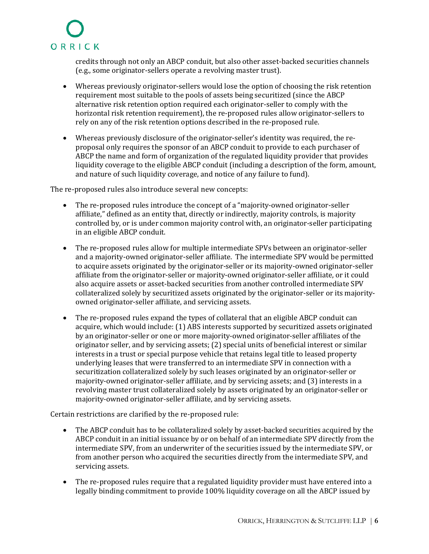credits through not only an ABCP conduit, but also other asset-backed securities channels (e.g., some originator-sellers operate a revolving master trust).

- Whereas previously originator-sellers would lose the option of choosing the risk retention requirement most suitable to the pools of assets being securitized (since the ABCP alternative risk retention option required each originator-seller to comply with the horizontal risk retention requirement), the re-proposed rules allow originator-sellers to rely on any of the risk retention options described in the re-proposed rule.
- Whereas previously disclosure of the originator-seller's identity was required, the reproposal only requires the sponsor of an ABCP conduit to provide to each purchaser of ABCP the name and form of organization of the regulated liquidity provider that provides liquidity coverage to the eligible ABCP conduit (including a description of the form, amount, and nature of such liquidity coverage, and notice of any failure to fund).

The re-proposed rules also introduce several new concepts:

- The re-proposed rules introduce the concept of a "majority-owned originator-seller affiliate," defined as an entity that, directly or indirectly, majority controls, is majority controlled by, or is under common majority control with, an originator-seller participating in an eligible ABCP conduit.
- The re-proposed rules allow for multiple intermediate SPVs between an originator-seller and a majority-owned originator-seller affiliate. The intermediate SPV would be permitted to acquire assets originated by the originator-seller or its majority-owned originator-seller affiliate from the originator-seller or majority-owned originator-seller affiliate, or it could also acquire assets or asset-backed securities from another controlled intermediate SPV collateralized solely by securitized assets originated by the originator-seller or its majorityowned originator-seller affiliate, and servicing assets.
- The re-proposed rules expand the types of collateral that an eligible ABCP conduit can acquire, which would include: (1) ABS interests supported by securitized assets originated by an originator-seller or one or more majority-owned originator-seller affiliates of the originator seller, and by servicing assets; (2) special units of beneficial interest or similar interests in a trust or special purpose vehicle that retains legal title to leased property underlying leases that were transferred to an intermediate SPV in connection with a securitization collateralized solely by such leases originated by an originator-seller or majority-owned originator-seller affiliate, and by servicing assets; and (3) interests in a revolving master trust collateralized solely by assets originated by an originator-seller or majority-owned originator-seller affiliate, and by servicing assets.

Certain restrictions are clarified by the re-proposed rule:

- The ABCP conduit has to be collateralized solely by asset-backed securities acquired by the ABCP conduit in an initial issuance by or on behalf of an intermediate SPV directly from the intermediate SPV, from an underwriter of the securities issued by the intermediate SPV, or from another person who acquired the securities directly from the intermediate SPV, and servicing assets.
- The re-proposed rules require that a regulated liquidity provider must have entered into a legally binding commitment to provide 100% liquidity coverage on all the ABCP issued by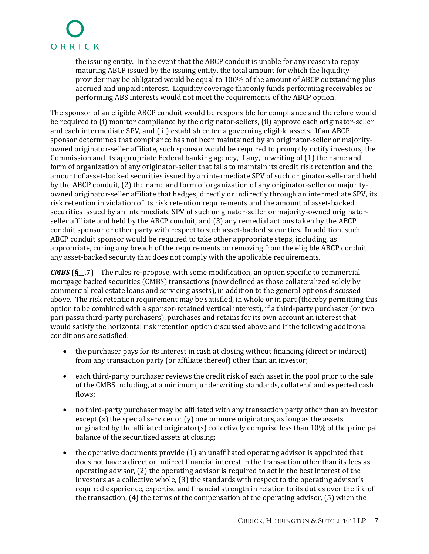the issuing entity. In the event that the ABCP conduit is unable for any reason to repay maturing ABCP issued by the issuing entity, the total amount for which the liquidity provider may be obligated would be equal to 100% of the amount of ABCP outstanding plus accrued and unpaid interest. Liquidity coverage that only funds performing receivables or performing ABS interests would not meet the requirements of the ABCP option.

The sponsor of an eligible ABCP conduit would be responsible for compliance and therefore would be required to (i) monitor compliance by the originator-sellers, (ii) approve each originator-seller and each intermediate SPV, and (iii) establish criteria governing eligible assets. If an ABCP sponsor determines that compliance has not been maintained by an originator-seller or majorityowned originator-seller affiliate, such sponsor would be required to promptly notify investors, the Commission and its appropriate Federal banking agency, if any, in writing of (1) the name and form of organization of any originator-seller that fails to maintain its credit risk retention and the amount of asset-backed securities issued by an intermediate SPV of such originator-seller and held by the ABCP conduit, (2) the name and form of organization of any originator-seller or majorityowned originator-seller affiliate that hedges, directly or indirectly through an intermediate SPV, its risk retention in violation of its risk retention requirements and the amount of asset-backed securities issued by an intermediate SPV of such originator-seller or majority-owned originatorseller affiliate and held by the ABCP conduit, and (3) any remedial actions taken by the ABCP conduit sponsor or other party with respect to such asset-backed securities. In addition, such ABCP conduit sponsor would be required to take other appropriate steps, including, as appropriate, curing any breach of the requirements or removing from the eligible ABCP conduit any asset-backed security that does not comply with the applicable requirements.

*CMBS* **(§\_\_.7)** The rules re-propose, with some modification, an option specific to commercial mortgage backed securities (CMBS) transactions (now defined as those collateralized solely by commercial real estate loans and servicing assets), in addition to the general options discussed above. The risk retention requirement may be satisfied, in whole or in part (thereby permitting this option to be combined with a sponsor-retained vertical interest), if a third-party purchaser (or two pari passu third-party purchasers), purchases and retains for its own account an interest that would satisfy the horizontal risk retention option discussed above and if the following additional conditions are satisfied:

- the purchaser pays for its interest in cash at closing without financing (direct or indirect) from any transaction party (or affiliate thereof) other than an investor;
- each third-party purchaser reviews the credit risk of each asset in the pool prior to the sale of the CMBS including, at a minimum, underwriting standards, collateral and expected cash flows;
- no third-party purchaser may be affiliated with any transaction party other than an investor except  $(x)$  the special servicer or  $(y)$  one or more originators, as long as the assets originated by the affiliated originator(s) collectively comprise less than 10% of the principal balance of the securitized assets at closing;
- the operative documents provide (1) an unaffiliated operating advisor is appointed that does not have a direct or indirect financial interest in the transaction other than its fees as operating advisor, (2) the operating advisor is required to act in the best interest of the investors as a collective whole, (3) the standards with respect to the operating advisor's required experience, expertise and financial strength in relation to its duties over the life of the transaction, (4) the terms of the compensation of the operating advisor, (5) when the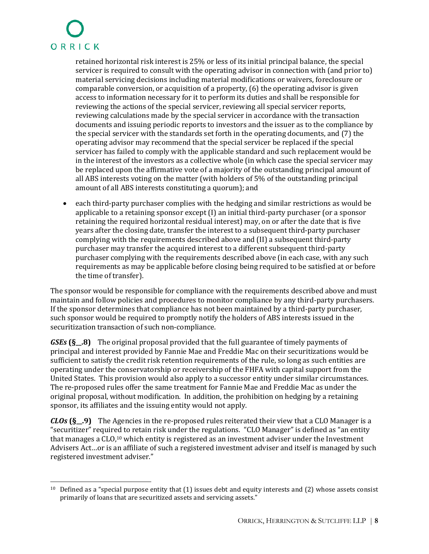retained horizontal risk interest is 25% or less of its initial principal balance, the special servicer is required to consult with the operating advisor in connection with (and prior to) material servicing decisions including material modifications or waivers, foreclosure or comparable conversion, or acquisition of a property, (6) the operating advisor is given access to information necessary for it to perform its duties and shall be responsible for reviewing the actions of the special servicer, reviewing all special servicer reports, reviewing calculations made by the special servicer in accordance with the transaction documents and issuing periodic reports to investors and the issuer as to the compliance by the special servicer with the standards set forth in the operating documents, and (7) the operating advisor may recommend that the special servicer be replaced if the special servicer has failed to comply with the applicable standard and such replacement would be in the interest of the investors as a collective whole (in which case the special servicer may be replaced upon the affirmative vote of a majority of the outstanding principal amount of all ABS interests voting on the matter (with holders of 5% of the outstanding principal amount of all ABS interests constituting a quorum); and

 each third-party purchaser complies with the hedging and similar restrictions as would be applicable to a retaining sponsor except (I) an initial third-party purchaser (or a sponsor retaining the required horizontal residual interest) may, on or after the date that is five years after the closing date, transfer the interest to a subsequent third-party purchaser complying with the requirements described above and (II) a subsequent third-party purchaser may transfer the acquired interest to a different subsequent third-party purchaser complying with the requirements described above (in each case, with any such requirements as may be applicable before closing being required to be satisfied at or before the time of transfer).

The sponsor would be responsible for compliance with the requirements described above and must maintain and follow policies and procedures to monitor compliance by any third-party purchasers. If the sponsor determines that compliance has not been maintained by a third-party purchaser, such sponsor would be required to promptly notify the holders of ABS interests issued in the securitization transaction of such non-compliance.

*GSEs* **(§\_\_.8)** The original proposal provided that the full guarantee of timely payments of principal and interest provided by Fannie Mae and Freddie Mac on their securitizations would be sufficient to satisfy the credit risk retention requirements of the rule, so long as such entities are operating under the conservatorship or receivership of the FHFA with capital support from the United States. This provision would also apply to a successor entity under similar circumstances. The re-proposed rules offer the same treatment for Fannie Mae and Freddie Mac as under the original proposal, without modification. In addition, the prohibition on hedging by a retaining sponsor, its affiliates and the issuing entity would not apply.

*CLOs* **(§\_\_.9)** The Agencies in the re-proposed rules reiterated their view that a CLO Manager is a "securitizer" required to retain risk under the regulations. "CLO Manager" is defined as "an entity thatmanages a CLO,<sup>10</sup> which entity is registered as an investment adviser under the Investment Advisers Act…or is an affiliate of such a registered investment adviser and itself is managed by such registered investment adviser."

<span id="page-9-0"></span> $10$  Defined as a "special purpose entity that (1) issues debt and equity interests and (2) whose assets consist primarily of loans that are securitized assets and servicing assets."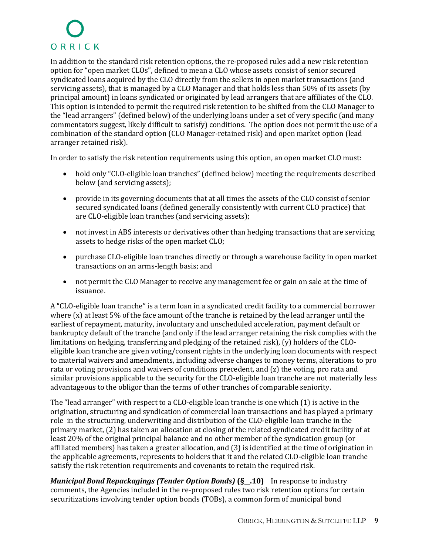In addition to the standard risk retention options, the re-proposed rules add a new risk retention option for "open market CLOs", defined to mean a CLO whose assets consist of senior secured syndicated loans acquired by the CLO directly from the sellers in open market transactions (and servicing assets), that is managed by a CLO Manager and that holds less than 50% of its assets (by principal amount) in loans syndicated or originated by lead arrangers that are affiliates of the CLO. This option is intended to permit the required risk retention to be shifted from the CLO Manager to the "lead arrangers" (defined below) of the underlying loans under a set of very specific (and many commentators suggest, likely difficult to satisfy) conditions. The option does not permit the use of a combination of the standard option (CLO Manager-retained risk) and open market option (lead arranger retained risk).

In order to satisfy the risk retention requirements using this option, an open market CLO must:

- hold only "CLO-eligible loan tranches" (defined below) meeting the requirements described below (and servicing assets);
- provide in its governing documents that at all times the assets of the CLO consist of senior secured syndicated loans (defined generally consistently with current CLO practice) that are CLO-eligible loan tranches (and servicing assets);
- not invest in ABS interests or derivatives other than hedging transactions that are servicing assets to hedge risks of the open market CLO;
- purchase CLO-eligible loan tranches directly or through a warehouse facility in open market transactions on an arms-length basis; and
- not permit the CLO Manager to receive any management fee or gain on sale at the time of issuance.

A "CLO-eligible loan tranche" is a term loan in a syndicated credit facility to a commercial borrower where (x) at least 5% of the face amount of the tranche is retained by the lead arranger until the earliest of repayment, maturity, involuntary and unscheduled acceleration, payment default or bankruptcy default of the tranche (and only if the lead arranger retaining the risk complies with the limitations on hedging, transferring and pledging of the retained risk), (y) holders of the CLOeligible loan tranche are given voting/consent rights in the underlying loan documents with respect to material waivers and amendments, including adverse changes to money terms, alterations to pro rata or voting provisions and waivers of conditions precedent, and (z) the voting, pro rata and similar provisions applicable to the security for the CLO-eligible loan tranche are not materially less advantageous to the obligor than the terms of other tranches of comparable seniority.

The "lead arranger" with respect to a CLO-eligible loan tranche is one which (1) is active in the origination, structuring and syndication of commercial loan transactions and has played a primary role in the structuring, underwriting and distribution of the CLO-eligible loan tranche in the primary market, (2) has taken an allocation at closing of the related syndicated credit facility of at least 20% of the original principal balance and no other member of the syndication group (or affiliated members) has taken a greater allocation, and (3) is identified at the time of origination in the applicable agreements, represents to holders that it and the related CLO-eligible loan tranche satisfy the risk retention requirements and covenants to retain the required risk.

*Municipal Bond Repackagings (Tender Option Bonds)* **(§\_\_.10)** In response to industry comments, the Agencies included in the re-proposed rules two risk retention options for certain securitizations involving tender option bonds (TOBs), a common form of municipal bond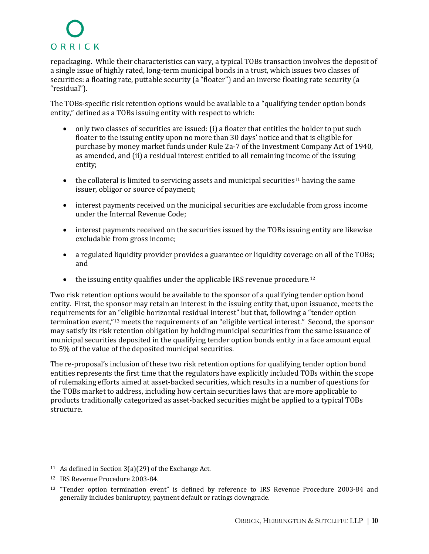repackaging. While their characteristics can vary, a typical TOBs transaction involves the deposit of a single issue of highly rated, long-term municipal bonds in a trust, which issues two classes of securities: a floating rate, puttable security (a "floater") and an inverse floating rate security (a "residual").

The TOBs-specific risk retention options would be available to a "qualifying tender option bonds entity," defined as a TOBs issuing entity with respect to which:

- only two classes of securities are issued: (i) a floater that entitles the holder to put such floater to the issuing entity upon no more than 30 days' notice and that is eligible for purchase by money market funds under Rule 2a-7 of the Investment Company Act of 1940, as amended, and (ii) a residual interest entitled to all remaining income of the issuing entity;
- $\bullet$  the collateral is limited to servicing assets and municipal securities<sup>[11](#page-11-0)</sup> having the same issuer, obligor or source of payment;
- interest payments received on the municipal securities are excludable from gross income under the Internal Revenue Code;
- interest payments received on the securities issued by the TOBs issuing entity are likewise excludable from gross income;
- a regulated liquidity provider provides a guarantee or liquidity coverage on all of the TOBs; and
- $\bullet$  the issuing entity qualifies under the applicable IRS revenue procedure.<sup>[12](#page-11-1)</sup>

Two risk retention options would be available to the sponsor of a qualifying tender option bond entity. First, the sponsor may retain an interest in the issuing entity that, upon issuance, meets the requirements for an "eligible horizontal residual interest" but that, following a "tender option terminationevent,["](#page-11-2)<sup>13</sup> meets the requirements of an "eligible vertical interest." Second, the sponsor may satisfy its risk retention obligation by holding municipal securities from the same issuance of municipal securities deposited in the qualifying tender option bonds entity in a face amount equal to 5% of the value of the deposited municipal securities.

The re-proposal's inclusion of these two risk retention options for qualifying tender option bond entities represents the first time that the regulators have explicitly included TOBs within the scope of rulemaking efforts aimed at asset-backed securities, which results in a number of questions for the TOBs market to address, including how certain securities laws that are more applicable to products traditionally categorized as asset-backed securities might be applied to a typical TOBs structure.

<span id="page-11-0"></span><sup>&</sup>lt;sup>11</sup> As defined in Section 3(a)(29) of the Exchange Act.

<span id="page-11-1"></span><sup>12</sup> IRS Revenue Procedure 2003-84.

<span id="page-11-2"></span><sup>&</sup>lt;sup>13</sup> "Tender option termination event" is defined by reference to IRS Revenue Procedure 2003-84 and generally includes bankruptcy, payment default or ratings downgrade.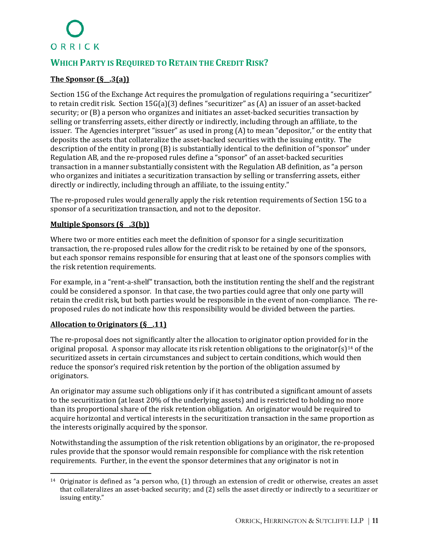### **WHICH PARTY IS REQUIRED TO RETAIN THE CREDIT RISK?**

#### **The Sponsor (§\_\_.3(a))**

Section 15G of the Exchange Act requires the promulgation of regulations requiring a "securitizer" to retain credit risk. Section 15G(a)(3) defines "securitizer" as (A) an issuer of an asset-backed security; or (B) a person who organizes and initiates an asset-backed securities transaction by selling or transferring assets, either directly or indirectly, including through an affiliate, to the issuer. The Agencies interpret "issuer" as used in prong (A) to mean "depositor," or the entity that deposits the assets that collateralize the asset-backed securities with the issuing entity. The description of the entity in prong (B) is substantially identical to the definition of "sponsor" under Regulation AB, and the re-proposed rules define a "sponsor" of an asset-backed securities transaction in a manner substantially consistent with the Regulation AB definition, as "a person who organizes and initiates a securitization transaction by selling or transferring assets, either directly or indirectly, including through an affiliate, to the issuing entity."

The re-proposed rules would generally apply the risk retention requirements of Section 15G to a sponsor of a securitization transaction, and not to the depositor.

#### **Multiple Sponsors (§\_\_.3(b))**

Where two or more entities each meet the definition of sponsor for a single securitization transaction, the re-proposed rules allow for the credit risk to be retained by one of the sponsors, but each sponsor remains responsible for ensuring that at least one of the sponsors complies with the risk retention requirements.

For example, in a "rent-a-shelf" transaction, both the institution renting the shelf and the registrant could be considered a sponsor. In that case, the two parties could agree that only one party will retain the credit risk, but both parties would be responsible in the event of non-compliance. The reproposed rules do not indicate how this responsibility would be divided between the parties.

#### **Allocation to Originators (§\_\_.11)**

The re-proposal does not significantly alter the allocation to originator option provided for in the original proposal. A sponsor may allocate its risk retention obligations to the originator(s)<sup>[14](#page-12-0)</sup> of the securitized assets in certain circumstances and subject to certain conditions, which would then reduce the sponsor's required risk retention by the portion of the obligation assumed by originators.

An originator may assume such obligations only if it has contributed a significant amount of assets to the securitization (at least 20% of the underlying assets) and is restricted to holding no more than its proportional share of the risk retention obligation. An originator would be required to acquire horizontal and vertical interests in the securitization transaction in the same proportion as the interests originally acquired by the sponsor.

Notwithstanding the assumption of the risk retention obligations by an originator, the re-proposed rules provide that the sponsor would remain responsible for compliance with the risk retention requirements. Further, in the event the sponsor determines that any originator is not in

<span id="page-12-0"></span><sup>14</sup> Originator is defined as "a person who, (1) through an extension of credit or otherwise, creates an asset that collateralizes an asset-backed security; and (2) sells the asset directly or indirectly to a securitizer or issuing entity."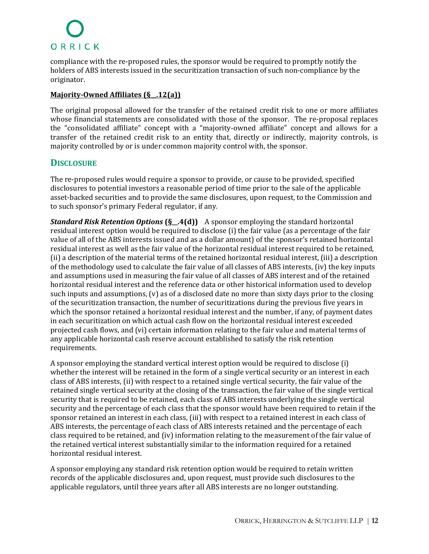compliance with the re-proposed rules, the sponsor would be required to promptly notify the holders of ABS interests issued in the securitization transaction of such non-compliance by the originator.

#### **Majority-Owned Affiliates (§\_\_.12(a))**

The original proposal allowed for the transfer of the retained credit risk to one or more affiliates whose financial statements are consolidated with those of the sponsor. The re-proposal replaces the "consolidated affiliate" concept with a "majority-owned affiliate" concept and allows for a transfer of the retained credit risk to an entity that, directly or indirectly, majority controls, is majority controlled by or is under common majority control with, the sponsor.

#### **DISCLOSURE**

The re-proposed rules would require a sponsor to provide, or cause to be provided, specified disclosures to potential investors a reasonable period of time prior to the sale of the applicable asset-backed securities and to provide the same disclosures, upon request, to the Commission and to such sponsor's primary Federal regulator, if any.

*Standard Risk Retention Options* **(§\_\_.4(d))** A sponsor employing the standard horizontal residual interest option would be required to disclose (i) the fair value (as a percentage of the fair value of all of the ABS interests issued and as a dollar amount) of the sponsor's retained horizontal residual interest as well as the fair value of the horizontal residual interest required to be retained, (ii) a description of the material terms of the retained horizontal residual interest, (iii) a description of the methodology used to calculate the fair value of all classes of ABS interests, (iv) the key inputs and assumptions used in measuring the fair value of all classes of ABS interest and of the retained horizontal residual interest and the reference data or other historical information used to develop such inputs and assumptions, (v) as of a disclosed date no more than sixty days prior to the closing of the securitization transaction, the number of securitizations during the previous five years in which the sponsor retained a horizontal residual interest and the number, if any, of payment dates in each securitization on which actual cash flow on the horizontal residual interest exceeded projected cash flows, and (vi) certain information relating to the fair value and material terms of any applicable horizontal cash reserve account established to satisfy the risk retention requirements.

A sponsor employing the standard vertical interest option would be required to disclose (i) whether the interest will be retained in the form of a single vertical security or an interest in each class of ABS interests, (ii) with respect to a retained single vertical security, the fair value of the retained single vertical security at the closing of the transaction, the fair value of the single vertical security that is required to be retained, each class of ABS interests underlying the single vertical security and the percentage of each class that the sponsor would have been required to retain if the sponsor retained an interest in each class, (iii) with respect to a retained interest in each class of ABS interests, the percentage of each class of ABS interests retained and the percentage of each class required to be retained, and (iv) information relating to the measurement of the fair value of the retained vertical interest substantially similar to the information required for a retained horizontal residual interest.

A sponsor employing any standard risk retention option would be required to retain written records of the applicable disclosures and, upon request, must provide such disclosures to the applicable regulators, until three years after all ABS interests are no longer outstanding.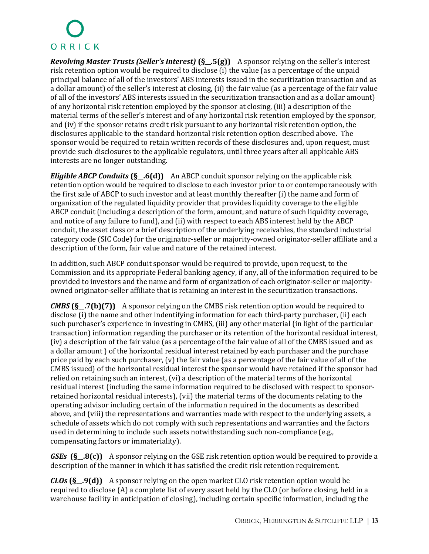*Revolving Master Trusts (Seller's Interest)* **(§\_\_.5(g))** A sponsor relying on the seller's interest risk retention option would be required to disclose (i) the value (as a percentage of the unpaid principal balance of all of the investors' ABS interests issued in the securitization transaction and as a dollar amount) of the seller's interest at closing, (ii) the fair value (as a percentage of the fair value of all of the investors' ABS interests issued in the securitization transaction and as a dollar amount) of any horizontal risk retention employed by the sponsor at closing, (iii) a description of the material terms of the seller's interest and of any horizontal risk retention employed by the sponsor, and (iv) if the sponsor retains credit risk pursuant to any horizontal risk retention option, the disclosures applicable to the standard horizontal risk retention option described above. The sponsor would be required to retain written records of these disclosures and, upon request, must provide such disclosures to the applicable regulators, until three years after all applicable ABS interests are no longer outstanding.

*Eligible ABCP Conduits* **(§\_\_.6(d))** An ABCP conduit sponsor relying on the applicable risk retention option would be required to disclose to each investor prior to or contemporaneously with the first sale of ABCP to such investor and at least monthly thereafter (i) the name and form of organization of the regulated liquidity provider that provides liquidity coverage to the eligible ABCP conduit (including a description of the form, amount, and nature of such liquidity coverage, and notice of any failure to fund), and (ii) with respect to each ABS interest held by the ABCP conduit, the asset class or a brief description of the underlying receivables, the standard industrial category code (SIC Code) for the originator-seller or majority-owned originator-seller affiliate and a description of the form, fair value and nature of the retained interest.

In addition, such ABCP conduit sponsor would be required to provide, upon request, to the Commission and its appropriate Federal banking agency, if any, all of the information required to be provided to investors and the name and form of organization of each originator-seller or majorityowned originator-seller affiliate that is retaining an interest in the securitization transactions.

*CMBS* **(§\_\_.7(b)(7))** A sponsor relying on the CMBS risk retention option would be required to disclose (i) the name and other indentifying information for each third-party purchaser, (ii) each such purchaser's experience in investing in CMBS, (iii) any other material (in light of the particular transaction) information regarding the purchaser or its retention of the horizontal residual interest, (iv) a description of the fair value (as a percentage of the fair value of all of the CMBS issued and as a dollar amount ) of the horizontal residual interest retained by each purchaser and the purchase price paid by each such purchaser, (v) the fair value (as a percentage of the fair value of all of the CMBS issued) of the horizontal residual interest the sponsor would have retained if the sponsor had relied on retaining such an interest, (vi) a description of the material terms of the horizontal residual interest (including the same information required to be disclosed with respect to sponsorretained horizontal residual interests), (vii) the material terms of the documents relating to the operating advisor including certain of the information required in the documents as described above, and (viii) the representations and warranties made with respect to the underlying assets, a schedule of assets which do not comply with such representations and warranties and the factors used in determining to include such assets notwithstanding such non-compliance (e.g., compensating factors or immateriality).

*GSEs* **(§\_\_.8(c))** A sponsor relying on the GSE risk retention option would be required to provide a description of the manner in which it has satisfied the credit risk retention requirement.

*CLOs* **(§\_\_.9(d))** A sponsor relying on the open market CLO risk retention option would be required to disclose (A) a complete list of every asset held by the CLO (or before closing, held in a warehouse facility in anticipation of closing), including certain specific information, including the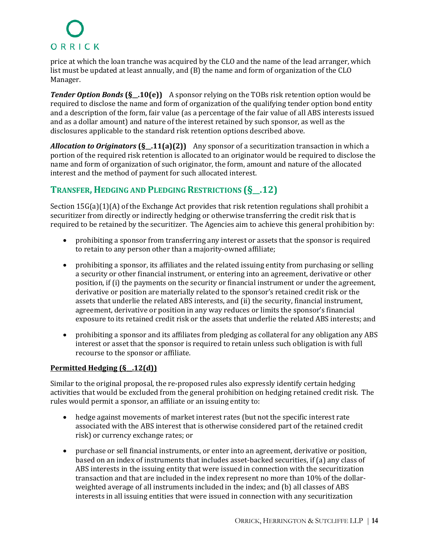price at which the loan tranche was acquired by the CLO and the name of the lead arranger, which list must be updated at least annually, and (B) the name and form of organization of the CLO Manager.

*Tender Option Bonds* **(§\_.10(e))** A sponsor relying on the TOBs risk retention option would be required to disclose the name and form of organization of the qualifying tender option bond entity and a description of the form, fair value (as a percentage of the fair value of all ABS interests issued and as a dollar amount) and nature of the interest retained by such sponsor, as well as the disclosures applicable to the standard risk retention options described above.

*Allocation to Originators* **(§\_\_.11(a)(2))** Any sponsor of a securitization transaction in which a portion of the required risk retention is allocated to an originator would be required to disclose the name and form of organization of such originator, the form, amount and nature of the allocated interest and the method of payment for such allocated interest.

### **TRANSFER, HEDGING AND PLEDGING RESTRICTIONS (§\_\_.12)**

Section 15G(a)(1)(A) of the Exchange Act provides that risk retention regulations shall prohibit a securitizer from directly or indirectly hedging or otherwise transferring the credit risk that is required to be retained by the securitizer. The Agencies aim to achieve this general prohibition by:

- prohibiting a sponsor from transferring any interest or assets that the sponsor is required to retain to any person other than a majority-owned affiliate;
- prohibiting a sponsor, its affiliates and the related issuing entity from purchasing or selling a security or other financial instrument, or entering into an agreement, derivative or other position, if (i) the payments on the security or financial instrument or under the agreement, derivative or position are materially related to the sponsor's retained credit risk or the assets that underlie the related ABS interests, and (ii) the security, financial instrument, agreement, derivative or position in any way reduces or limits the sponsor's financial exposure to its retained credit risk or the assets that underlie the related ABS interests; and
- prohibiting a sponsor and its affiliates from pledging as collateral for any obligation any ABS interest or asset that the sponsor is required to retain unless such obligation is with full recourse to the sponsor or affiliate.

#### **Permitted Hedging (§\_\_.12(d))**

Similar to the original proposal, the re-proposed rules also expressly identify certain hedging activities that would be excluded from the general prohibition on hedging retained credit risk. The rules would permit a sponsor, an affiliate or an issuing entity to:

- hedge against movements of market interest rates (but not the specific interest rate associated with the ABS interest that is otherwise considered part of the retained credit risk) or currency exchange rates; or
- purchase or sell financial instruments, or enter into an agreement, derivative or position, based on an index of instruments that includes asset-backed securities, if (a) any class of ABS interests in the issuing entity that were issued in connection with the securitization transaction and that are included in the index represent no more than 10% of the dollarweighted average of all instruments included in the index; and (b) all classes of ABS interests in all issuing entities that were issued in connection with any securitization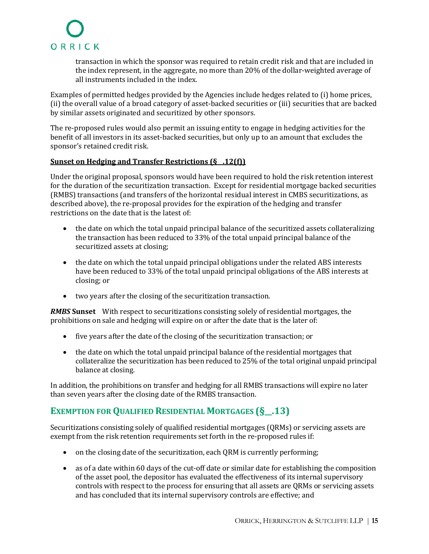transaction in which the sponsor was required to retain credit risk and that are included in the index represent, in the aggregate, no more than 20% of the dollar-weighted average of all instruments included in the index.

Examples of permitted hedges provided by the Agencies include hedges related to (i) home prices, (ii) the overall value of a broad category of asset-backed securities or (iii) securities that are backed by similar assets originated and securitized by other sponsors.

The re-proposed rules would also permit an issuing entity to engage in hedging activities for the benefit of all investors in its asset-backed securities, but only up to an amount that excludes the sponsor's retained credit risk.

#### **Sunset on Hedging and Transfer Restrictions (§\_\_.12(f))**

Under the original proposal, sponsors would have been required to hold the risk retention interest for the duration of the securitization transaction. Except for residential mortgage backed securities (RMBS) transactions (and transfers of the horizontal residual interest in CMBS securitizations, as described above), the re-proposal provides for the expiration of the hedging and transfer restrictions on the date that is the latest of:

- the date on which the total unpaid principal balance of the securitized assets collateralizing the transaction has been reduced to 33% of the total unpaid principal balance of the securitized assets at closing;
- the date on which the total unpaid principal obligations under the related ABS interests have been reduced to 33% of the total unpaid principal obligations of the ABS interests at closing; or
- two years after the closing of the securitization transaction.

*RMBS* **Sunset** With respect to securitizations consisting solely of residential mortgages, the prohibitions on sale and hedging will expire on or after the date that is the later of:

- five years after the date of the closing of the securitization transaction; or
- the date on which the total unpaid principal balance of the residential mortgages that collateralize the securitization has been reduced to 25% of the total original unpaid principal balance at closing.

In addition, the prohibitions on transfer and hedging for all RMBS transactions will expire no later than seven years after the closing date of the RMBS transaction.

### **EXEMPTION FOR QUALIFIED RESIDENTIAL MORTGAGES (§\_\_.13)**

Securitizations consisting solely of qualified residential mortgages (QRMs) or servicing assets are exempt from the risk retention requirements set forth in the re-proposed rules if:

- on the closing date of the securitization, each QRM is currently performing;
- as of a date within 60 days of the cut-off date or similar date for establishing the composition of the asset pool, the depositor has evaluated the effectiveness of its internal supervisory controls with respect to the process for ensuring that all assets are QRMs or servicing assets and has concluded that its internal supervisory controls are effective; and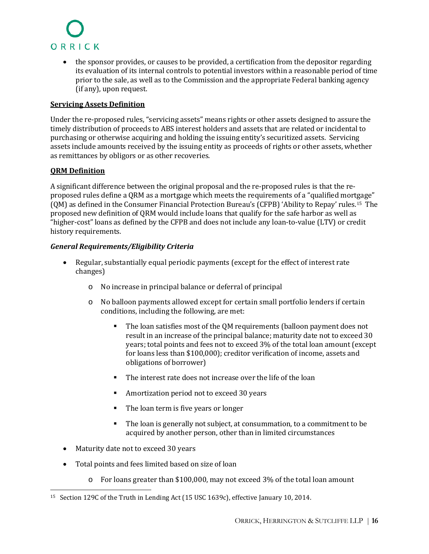

• the sponsor provides, or causes to be provided, a certification from the depositor regarding its evaluation of its internal controls to potential investors within a reasonable period of time prior to the sale, as well as to the Commission and the appropriate Federal banking agency (if any), upon request.

#### **Servicing Assets Definition**

Under the re-proposed rules, "servicing assets" means rights or other assets designed to assure the timely distribution of proceeds to ABS interest holders and assets that are related or incidental to purchasing or otherwise acquiring and holding the issuing entity's securitized assets. Servicing assets include amounts received by the issuing entity as proceeds of rights or other assets, whether as remittances by obligors or as other recoveries.

#### **QRM Definition**

A significant difference between the original proposal and the re-proposed rules is that the reproposed rules define a QRM as a mortgage which meets the requirements of a "qualified mortgage" (QM) as defined in the Consumer Financial Protection Bureau's (CFPB) 'Ability to Repay'rules.<sup>15</sup> The proposed new definition of QRM would include loans that qualify for the safe harbor as well as "higher-cost" loans as defined by the CFPB and does not include any loan-to-value (LTV) or credit history requirements.

#### *General Requirements/Eligibility Criteria*

- Regular, substantially equal periodic payments (except for the effect of interest rate changes)
	- o No increase in principal balance or deferral of principal
	- o No balloon payments allowed except for certain small portfolio lenders if certain conditions, including the following, are met:
		- The loan satisfies most of the QM requirements (balloon payment does not result in an increase of the principal balance; maturity date not to exceed 30 years; total points and fees not to exceed 3% of the total loan amount (except for loans less than \$100,000); creditor verification of income, assets and obligations of borrower)
		- The interest rate does not increase over the life of the loan
		- Amortization period not to exceed 30 years
		- The loan term is five years or longer
		- The loan is generally not subject, at consummation, to a commitment to be acquired by another person, other than in limited circumstances
- Maturity date not to exceed 30 years
- Total points and fees limited based on size of loan
	- $\circ$  For loans greater than \$100,000, may not exceed 3% of the total loan amount

<span id="page-17-0"></span><sup>15</sup> Section 129C of the Truth in Lending Act (15 USC 1639c), effective January 10, 2014.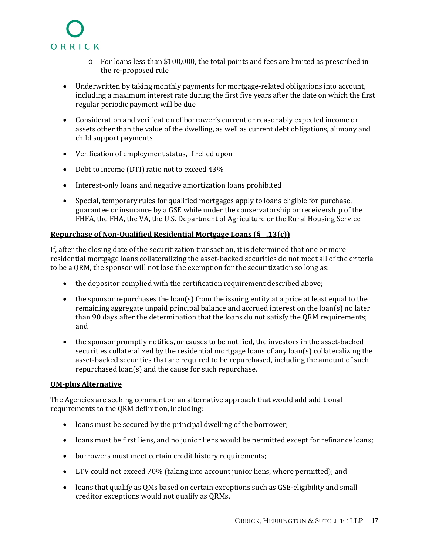

- o For loans less than \$100,000, the total points and fees are limited as prescribed in the re-proposed rule
- Underwritten by taking monthly payments for mortgage-related obligations into account, including a maximum interest rate during the first five years after the date on which the first regular periodic payment will be due
- Consideration and verification of borrower's current or reasonably expected income or assets other than the value of the dwelling, as well as current debt obligations, alimony and child support payments
- Verification of employment status, if relied upon
- Debt to income (DTI) ratio not to exceed 43%
- Interest-only loans and negative amortization loans prohibited
- Special, temporary rules for qualified mortgages apply to loans eligible for purchase, guarantee or insurance by a GSE while under the conservatorship or receivership of the FHFA, the FHA, the VA, the U.S. Department of Agriculture or the Rural Housing Service

#### **Repurchase of Non-Qualified Residential Mortgage Loans (§\_\_.13(c))**

If, after the closing date of the securitization transaction, it is determined that one or more residential mortgage loans collateralizing the asset-backed securities do not meet all of the criteria to be a QRM, the sponsor will not lose the exemption for the securitization so long as:

- the depositor complied with the certification requirement described above;
- $\bullet$  the sponsor repurchases the loan(s) from the issuing entity at a price at least equal to the remaining aggregate unpaid principal balance and accrued interest on the loan(s) no later than 90 days after the determination that the loans do not satisfy the QRM requirements; and
- the sponsor promptly notifies, or causes to be notified, the investors in the asset-backed securities collateralized by the residential mortgage loans of any loan(s) collateralizing the asset-backed securities that are required to be repurchased, including the amount of such repurchased loan(s) and the cause for such repurchase.

#### **QM-plus Alternative**

The Agencies are seeking comment on an alternative approach that would add additional requirements to the QRM definition, including:

- loans must be secured by the principal dwelling of the borrower;
- loans must be first liens, and no junior liens would be permitted except for refinance loans;
- borrowers must meet certain credit history requirements;
- LTV could not exceed 70% (taking into account junior liens, where permitted); and
- loans that qualify as QMs based on certain exceptions such as GSE-eligibility and small creditor exceptions would not qualify as QRMs.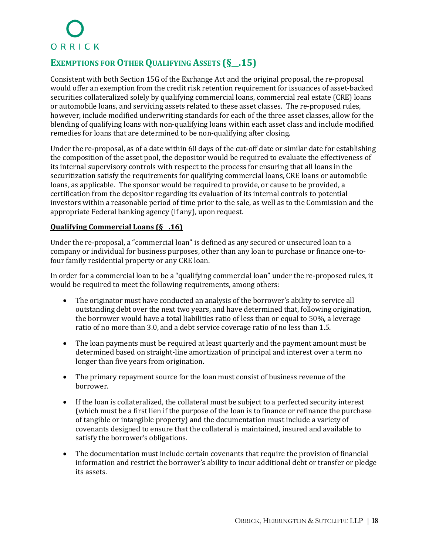### **EXEMPTIONS FOR OTHERQUALIFYING ASSETS (§\_\_.15)**

Consistent with both Section 15G of the Exchange Act and the original proposal, the re-proposal would offer an exemption from the credit risk retention requirement for issuances of asset-backed securities collateralized solely by qualifying commercial loans, commercial real estate (CRE) loans or automobile loans, and servicing assets related to these asset classes. The re-proposed rules, however, include modified underwriting standards for each of the three asset classes, allow for the blending of qualifying loans with non-qualifying loans within each asset class and include modified remedies for loans that are determined to be non-qualifying after closing.

Under the re-proposal, as of a date within 60 days of the cut-off date or similar date for establishing the composition of the asset pool, the depositor would be required to evaluate the effectiveness of its internal supervisory controls with respect to the process for ensuring that all loans in the securitization satisfy the requirements for qualifying commercial loans, CRE loans or automobile loans, as applicable. The sponsor would be required to provide, or cause to be provided, a certification from the depositor regarding its evaluation of its internal controls to potential investors within a reasonable period of time prior to the sale, as well as to the Commission and the appropriate Federal banking agency (if any), upon request.

#### **Qualifying Commercial Loans (§\_\_.16)**

Under the re-proposal, a "commercial loan" is defined as any secured or unsecured loan to a company or individual for business purposes, other than any loan to purchase or finance one-tofour family residential property or any CRE loan.

In order for a commercial loan to be a "qualifying commercial loan" under the re-proposed rules, it would be required to meet the following requirements, among others:

- The originator must have conducted an analysis of the borrower's ability to service all outstanding debt over the next two years, and have determined that, following origination, the borrower would have a total liabilities ratio of less than or equal to 50%, a leverage ratio of no more than 3.0, and a debt service coverage ratio of no less than 1.5.
- The loan payments must be required at least quarterly and the payment amount must be determined based on straight-line amortization of principal and interest over a term no longer than five years from origination.
- The primary repayment source for the loan must consist of business revenue of the borrower.
- If the loan is collateralized, the collateral must be subject to a perfected security interest (which must be a first lien if the purpose of the loan is to finance or refinance the purchase of tangible or intangible property) and the documentation must include a variety of covenants designed to ensure that the collateral is maintained, insured and available to satisfy the borrower's obligations.
- The documentation must include certain covenants that require the provision of financial information and restrict the borrower's ability to incur additional debt or transfer or pledge its assets.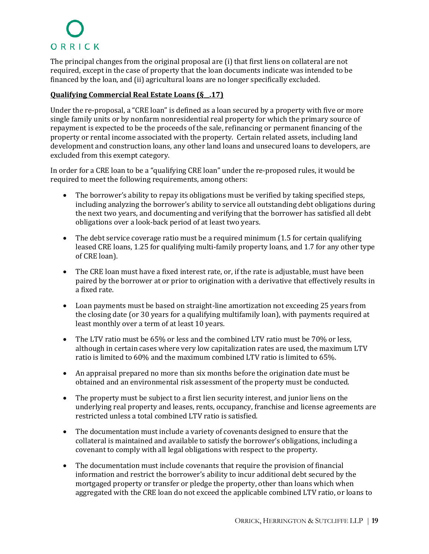The principal changes from the original proposal are (i) that first liens on collateral are not required, except in the case of property that the loan documents indicate was intended to be financed by the loan, and (ii) agricultural loans are no longer specifically excluded.

#### **Qualifying Commercial Real Estate Loans (§\_\_.17)**

Under the re-proposal, a "CRE loan" is defined as a loan secured by a property with five or more single family units or by nonfarm nonresidential real property for which the primary source of repayment is expected to be the proceeds of the sale, refinancing or permanent financing of the property or rental income associated with the property. Certain related assets, including land development and construction loans, any other land loans and unsecured loans to developers, are excluded from this exempt category.

In order for a CRE loan to be a "qualifying CRE loan" under the re-proposed rules, it would be required to meet the following requirements, among others:

- The borrower's ability to repay its obligations must be verified by taking specified steps, including analyzing the borrower's ability to service all outstanding debt obligations during the next two years, and documenting and verifying that the borrower has satisfied all debt obligations over a look-back period of at least two years.
- The debt service coverage ratio must be a required minimum (1.5 for certain qualifying leased CRE loans, 1.25 for qualifying multi-family property loans, and 1.7 for any other type of CRE loan).
- The CRE loan must have a fixed interest rate, or, if the rate is adjustable, must have been paired by the borrower at or prior to origination with a derivative that effectively results in a fixed rate.
- Loan payments must be based on straight-line amortization not exceeding 25 years from the closing date (or 30 years for a qualifying multifamily loan), with payments required at least monthly over a term of at least 10 years.
- The LTV ratio must be 65% or less and the combined LTV ratio must be 70% or less, although in certain cases where very low capitalization rates are used, the maximum LTV ratio is limited to 60% and the maximum combined LTV ratio is limited to 65%.
- An appraisal prepared no more than six months before the origination date must be obtained and an environmental risk assessment of the property must be conducted.
- The property must be subject to a first lien security interest, and junior liens on the underlying real property and leases, rents, occupancy, franchise and license agreements are restricted unless a total combined LTV ratio is satisfied.
- The documentation must include a variety of covenants designed to ensure that the collateral is maintained and available to satisfy the borrower's obligations, including a covenant to comply with all legal obligations with respect to the property.
- The documentation must include covenants that require the provision of financial information and restrict the borrower's ability to incur additional debt secured by the mortgaged property or transfer or pledge the property, other than loans which when aggregated with the CRE loan do not exceed the applicable combined LTV ratio, or loans to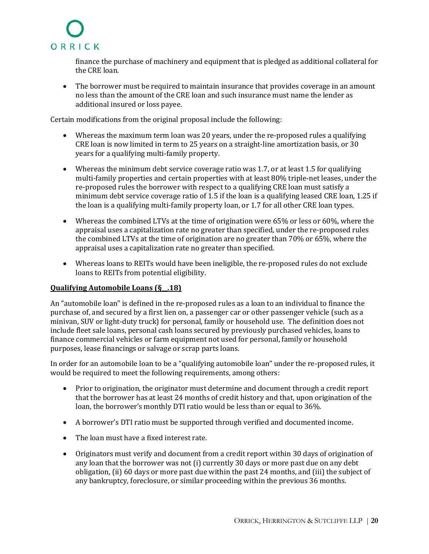

finance the purchase of machinery and equipment that is pledged as additional collateral for the CRE loan.

• The borrower must be required to maintain insurance that provides coverage in an amount no less than the amount of the CRE loan and such insurance must name the lender as additional insured or loss payee.

Certain modifications from the original proposal include the following:

- Whereas the maximum term loan was 20 years, under the re-proposed rules a qualifying CRE loan is now limited in term to 25 years on a straight-line amortization basis, or 30 years for a qualifying multi-family property.
- Whereas the minimum debt service coverage ratio was 1.7, or at least 1.5 for qualifying multi-family properties and certain properties with at least 80% triple-net leases, under the re-proposed rules the borrower with respect to a qualifying CRE loan must satisfy a minimum debt service coverage ratio of 1.5 if the loan is a qualifying leased CRE loan, 1.25 if the loan is a qualifying multi-family property loan, or 1.7 for all other CRE loan types.
- Whereas the combined LTVs at the time of origination were 65% or less or 60%, where the appraisal uses a capitalization rate no greater than specified, under the re-proposed rules the combined LTVs at the time of origination are no greater than 70% or 65%, where the appraisal uses a capitalization rate no greater than specified.
- Whereas loans to REITs would have been ineligible, the re-proposed rules do not exclude loans to REITs from potential eligibility.

#### **Qualifying Automobile Loans (§\_\_.18)**

An "automobile loan" is defined in the re-proposed rules as a loan to an individual to finance the purchase of, and secured by a first lien on, a passenger car or other passenger vehicle (such as a minivan, SUV or light-duty truck) for personal, family or household use. The definition does not include fleet sale loans, personal cash loans secured by previously purchased vehicles, loans to finance commercial vehicles or farm equipment not used for personal, family or household purposes, lease financings or salvage or scrap parts loans.

In order for an automobile loan to be a "qualifying automobile loan" under the re-proposed rules, it would be required to meet the following requirements, among others:

- Prior to origination, the originator must determine and document through a credit report that the borrower has at least 24 months of credit history and that, upon origination of the loan, the borrower's monthly DTI ratio would be less than or equal to 36%.
- A borrower's DTI ratio must be supported through verified and documented income.
- The loan must have a fixed interest rate.
- Originators must verify and document from a credit report within 30 days of origination of any loan that the borrower was not (i) currently 30 days or more past due on any debt obligation, (ii) 60 days or more past due within the past 24 months, and (iii) the subject of any bankruptcy, foreclosure, or similar proceeding within the previous 36 months.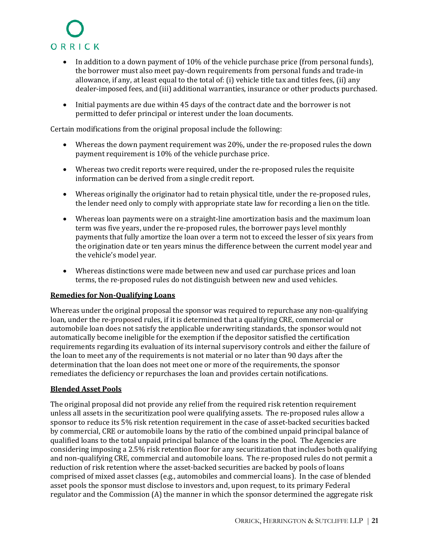

- In addition to a down payment of 10% of the vehicle purchase price (from personal funds), the borrower must also meet pay-down requirements from personal funds and trade-in allowance, if any, at least equal to the total of: (i) vehicle title tax and titles fees, (ii) any dealer-imposed fees, and (iii) additional warranties, insurance or other products purchased.
- Initial payments are due within 45 days of the contract date and the borrower is not permitted to defer principal or interest under the loan documents.

Certain modifications from the original proposal include the following:

- Whereas the down payment requirement was 20%, under the re-proposed rules the down payment requirement is 10% of the vehicle purchase price.
- Whereas two credit reports were required, under the re-proposed rules the requisite information can be derived from a single credit report.
- Whereas originally the originator had to retain physical title, under the re-proposed rules, the lender need only to comply with appropriate state law for recording a lien on the title.
- Whereas loan payments were on a straight-line amortization basis and the maximum loan term was five years, under the re-proposed rules, the borrower pays level monthly payments that fully amortize the loan over a term not to exceed the lesser of six years from the origination date or ten years minus the difference between the current model year and the vehicle's model year.
- Whereas distinctions were made between new and used car purchase prices and loan terms, the re-proposed rules do not distinguish between new and used vehicles.

#### **Remedies for Non-Qualifying Loans**

Whereas under the original proposal the sponsor was required to repurchase any non-qualifying loan, under the re-proposed rules, if it is determined that a qualifying CRE, commercial or automobile loan does not satisfy the applicable underwriting standards, the sponsor would not automatically become ineligible for the exemption if the depositor satisfied the certification requirements regarding its evaluation of its internal supervisory controls and either the failure of the loan to meet any of the requirements is not material or no later than 90 days after the determination that the loan does not meet one or more of the requirements, the sponsor remediates the deficiency or repurchases the loan and provides certain notifications.

#### **Blended Asset Pools**

The original proposal did not provide any relief from the required risk retention requirement unless all assets in the securitization pool were qualifying assets. The re-proposed rules allow a sponsor to reduce its 5% risk retention requirement in the case of asset-backed securities backed by commercial, CRE or automobile loans by the ratio of the combined unpaid principal balance of qualified loans to the total unpaid principal balance of the loans in the pool. The Agencies are considering imposing a 2.5% risk retention floor for any securitization that includes both qualifying and non-qualifying CRE, commercial and automobile loans. The re-proposed rules do not permit a reduction of risk retention where the asset-backed securities are backed by pools of loans comprised of mixed asset classes (e.g., automobiles and commercial loans). In the case of blended asset pools the sponsor must disclose to investors and, upon request, to its primary Federal regulator and the Commission (A) the manner in which the sponsor determined the aggregate risk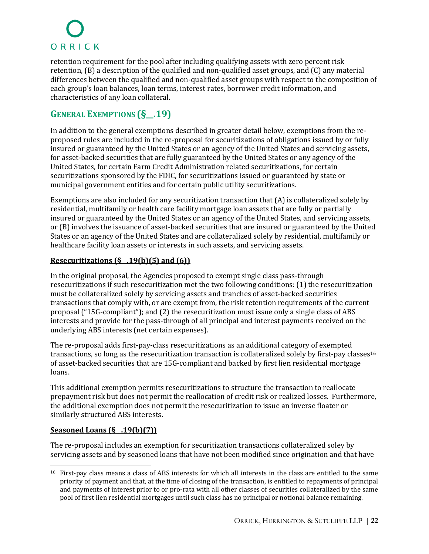retention requirement for the pool after including qualifying assets with zero percent risk retention, (B) a description of the qualified and non-qualified asset groups, and (C) any material differences between the qualified and non-qualified asset groups with respect to the composition of each group's loan balances, loan terms, interest rates, borrower credit information, and characteristics of any loan collateral.

### **GENERAL EXEMPTIONS (§\_\_.19)**

In addition to the general exemptions described in greater detail below, exemptions from the reproposed rules are included in the re-proposal for securitizations of obligations issued by or fully insured or guaranteed by the United States or an agency of the United States and servicing assets, for asset-backed securities that are fully guaranteed by the United States or any agency of the United States, for certain Farm Credit Administration related securitizations, for certain securitizations sponsored by the FDIC, for securitizations issued or guaranteed by state or municipal government entities and for certain public utility securitizations.

Exemptions are also included for any securitization transaction that (A) is collateralized solely by residential, multifamily or health care facility mortgage loan assets that are fully or partially insured or guaranteed by the United States or an agency of the United States, and servicing assets, or (B) involves the issuance of asset-backed securities that are insured or guaranteed by the United States or an agency of the United States and are collateralized solely by residential, multifamily or healthcare facility loan assets or interests in such assets, and servicing assets.

#### **Resecuritizations (§\_\_.19(b)(5) and (6))**

In the original proposal, the Agencies proposed to exempt single class pass-through resecuritizations if such resecuritization met the two following conditions: (1) the resecuritization must be collateralized solely by servicing assets and tranches of asset-backed securities transactions that comply with, or are exempt from, the risk retention requirements of the current proposal ("15G-compliant"); and (2) the resecuritization must issue only a single class of ABS interests and provide for the pass-through of all principal and interest payments received on the underlying ABS interests (net certain expenses).

The re-proposal adds first-pay-class resecuritizations as an additional category of exempted transactions,so long as the resecuritization transaction is collateralized solely by first-pay classes<sup>16</sup> of asset-backed securities that are 15G-compliant and backed by first lien residential mortgage loans.

This additional exemption permits resecuritizations to structure the transaction to reallocate prepayment risk but does not permit the reallocation of credit risk or realized losses. Furthermore, the additional exemption does not permit the resecuritization to issue an inverse floater or similarly structured ABS interests.

#### **Seasoned Loans (§\_\_.19(b)(7))**

The re-proposal includes an exemption for securitization transactions collateralized soley by servicing assets and by seasoned loans that have not been modified since origination and that have

<span id="page-23-0"></span><sup>16</sup> First-pay class means a class of ABS interests for which all interests in the class are entitled to the same priority of payment and that, at the time of closing of the transaction, is entitled to repayments of principal and payments of interest prior to or pro-rata with all other classes of securities collateralized by the same pool of first lien residential mortgages until such class has no principal or notional balance remaining.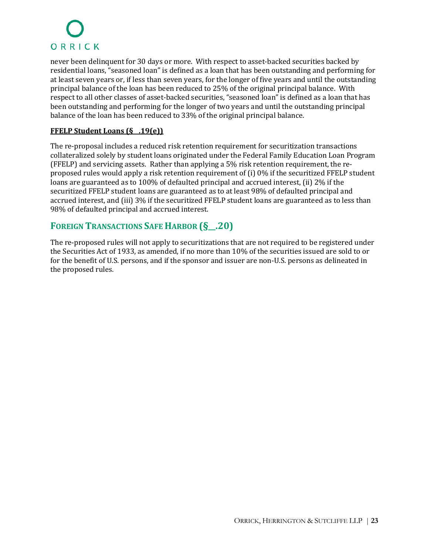never been delinquent for 30 days or more. With respect to asset-backed securities backed by residential loans, "seasoned loan" is defined as a loan that has been outstanding and performing for at least seven years or, if less than seven years, for the longer of five years and until the outstanding principal balance of the loan has been reduced to 25% of the original principal balance. With respect to all other classes of asset-backed securities, "seasoned loan" is defined as a loan that has been outstanding and performing for the longer of two years and until the outstanding principal balance of the loan has been reduced to 33% of the original principal balance.

#### **FFELP Student Loans (§\_\_.19(e))**

The re-proposal includes a reduced risk retention requirement for securitization transactions collateralized solely by student loans originated under the Federal Family Education Loan Program (FFELP) and servicing assets. Rather than applying a 5% risk retention requirement, the reproposed rules would apply a risk retention requirement of (i) 0% if the securitized FFELP student loans are guaranteed as to 100% of defaulted principal and accrued interest, (ii) 2% if the securitized FFELP student loans are guaranteed as to at least 98% of defaulted principal and accrued interest, and (iii) 3% if the securitized FFELP student loans are guaranteed as to less than 98% of defaulted principal and accrued interest.

### **FOREIGN TRANSACTIONS SAFE HARBOR (§\_\_.20)**

The re-proposed rules will not apply to securitizations that are not required to be registered under the Securities Act of 1933, as amended, if no more than 10% of the securities issued are sold to or for the benefit of U.S. persons, and if the sponsor and issuer are non-U.S. persons as delineated in the proposed rules.